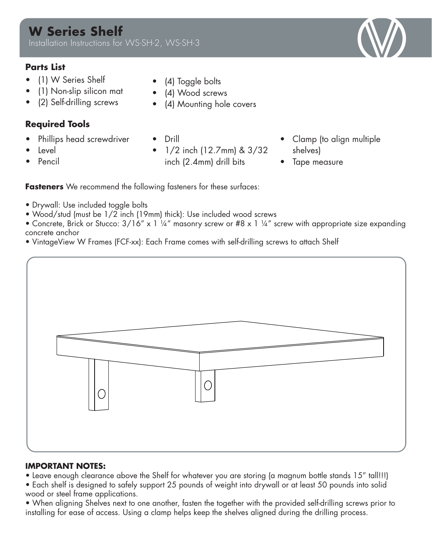## **Parts List**

- (1) W Series Shelf
- (1) Non-slip silicon mat
- (2) Self-drilling screws

## **Required Tools**

- Phillips head screwdriver
- Level
- Pencil
- (4) Toggle bolts
- (4) Wood screws
- (4) Mounting hole covers
- Drill
- 1/2 inch (12.7mm) & 3/32 inch (2.4mm) drill bits
- Clamp (to align multiple shelves)
- Tape measure

**Fasteners** We recommend the following fasteners for these surfaces:

- Drywall: Use included toggle bolts
- Wood/stud (must be 1/2 inch (19mm) thick): Use included wood screws
- Concrete, Brick or Stucco:  $3/16''$  x 1 ¼" masonry screw or #8 x 1 ¼" screw with appropriate size expanding concrete anchor
- VintageView W Frames (FCF-xx): Each Frame comes with self-drilling screws to attach Shelf



### **IMPORTANT NOTES:**

- Leave enough clearance above the Shelf for whatever you are storing (a magnum bottle stands 15" tall!!!)
- Each shelf is designed to safely support 25 pounds of weight into drywall or at least 50 pounds into solid wood or steel frame applications.
- installing for ease of access. Using a clamp helps keep the shelves aligned during the drilling process.<br>
installing process. • When aligning Shelves next to one another, fasten the together with the provided self-drilling screws prior to

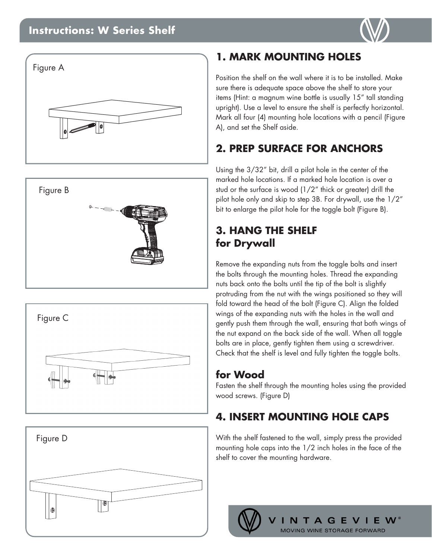## **Instructions: W Series Shelf**











## **1. MARK MOUNTING HOLES**

Position the shelf on the wall where it is to be installed. Make sure there is adequate space above the shelf to store your items (Hint: a magnum wine bottle is usually 15" tall standing upright). Use a level to ensure the shelf is perfectly horizontal. Mark all four (4) mounting hole locations with a pencil (Figure A), and set the Shelf aside.

# **2. PREP SURFACE FOR ANCHORS**

Using the 3/32" bit, drill a pilot hole in the center of the marked hole locations. If a marked hole location is over a stud or the surface is wood (1/2" thick or greater) drill the pilot hole only and skip to step 3B. For drywall, use the 1/2" bit to enlarge the pilot hole for the toggle bolt (Figure B).

## **3. HANG THE SHELF for Drywall**

Remove the expanding nuts from the toggle bolts and insert the bolts through the mounting holes. Thread the expanding nuts back onto the bolts until the tip of the bolt is slightly protruding from the nut with the wings positioned so they will fold toward the head of the bolt (Figure C). Align the folded wings of the expanding nuts with the holes in the wall and gently push them through the wall, ensuring that both wings of the nut expand on the back side of the wall. When all toggle bolts are in place, gently tighten them using a screwdriver. Check that the shelf is level and fully tighten the toggle bolts.

## **for Wood**

Fasten the shelf through the mounting holes using the provided wood screws. (Figure D)

# **4. INSERT MOUNTING HOLE CAPS**

With the shelf fastened to the wall, simply press the provided mounting hole caps into the 1/2 inch holes in the face of the shelf to cover the mounting hardware.